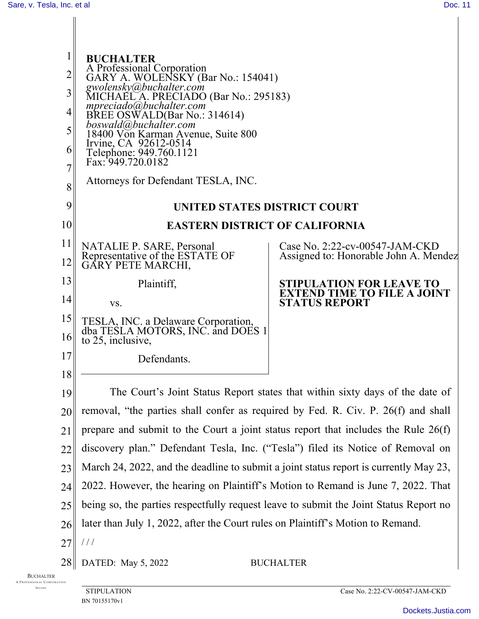| $\mathbf{I}$                                           |                                                                                                                                      |                                                            |
|--------------------------------------------------------|--------------------------------------------------------------------------------------------------------------------------------------|------------------------------------------------------------|
| 2                                                      | <b>BUCHALTER</b>                                                                                                                     |                                                            |
| $\overline{3}$                                         | A Professional Corporation<br>GARY A. WOLENSKY (Bar No.: 154041)<br>gwolensky@buchalter.com<br>MICHAEL A. PRECIADO (Bar No.: 295183) |                                                            |
| 4 <sub>l</sub>                                         |                                                                                                                                      |                                                            |
| $\vert 5 \vert$                                        | mpreciado@buchalter.com<br>BREE OSWALD(Bar No.: 314614)<br>boswald@buchalter.com<br>18400 Von Karman Avenue, Suite 800               |                                                            |
| 6                                                      | Irvine, CA 92612-0514                                                                                                                |                                                            |
| 7                                                      | Telephone: 949.760.1121<br>Fax: 949.720.0182                                                                                         |                                                            |
| 8                                                      | Attorneys for Defendant TESLA, INC.                                                                                                  |                                                            |
| 9                                                      | <b>UNITED STATES DISTRICT COURT</b>                                                                                                  |                                                            |
| 10                                                     | <b>EASTERN DISTRICT OF CALIFORNIA</b>                                                                                                |                                                            |
| 11 <sub>  </sub>                                       |                                                                                                                                      | Case No. 2:22-cv-00547-JAM-CKD                             |
| 12                                                     | NATALIE P. SARE, Personal<br>Representative of the ESTATE OF<br>GARY PETE MARCHI,                                                    | Assigned to: Honorable John A. Mendez                      |
| 13                                                     | Plaintiff,                                                                                                                           | <b>STIPULATION FOR LEAVE TO</b>                            |
| 14                                                     | VS.                                                                                                                                  | <b>EXTEND TIME TO FILE A JOINT</b><br><b>STATUS REPORT</b> |
| 15 <sub>1</sub>                                        | TESLA, INC. a Delaware Corporation, dba TESLA MOTORS, INC. and DOES 1                                                                |                                                            |
| 16 <sup>1</sup>                                        | to 25, inclusive,                                                                                                                    |                                                            |
| 17                                                     | Defendants.                                                                                                                          |                                                            |
| 18                                                     |                                                                                                                                      |                                                            |
| 19                                                     | The Court's Joint Status Report states that within sixty days of the date of                                                         |                                                            |
| 20                                                     | removal, "the parties shall confer as required by Fed. R. Civ. P. 26(f) and shall                                                    |                                                            |
| 21                                                     | prepare and submit to the Court a joint status report that includes the Rule $26(f)$                                                 |                                                            |
| 22                                                     | discovery plan." Defendant Tesla, Inc. ("Tesla") filed its Notice of Removal on                                                      |                                                            |
| 23                                                     | March 24, 2022, and the deadline to submit a joint status report is currently May 23,                                                |                                                            |
| 24                                                     | 2022. However, the hearing on Plaintiff's Motion to Remand is June 7, 2022. That                                                     |                                                            |
| 25                                                     | being so, the parties respectfully request leave to submit the Joint Status Report no                                                |                                                            |
| 26                                                     | later than July 1, 2022, after the Court rules on Plaintiff's Motion to Remand.                                                      |                                                            |
| 27                                                     | ///                                                                                                                                  |                                                            |
| 28                                                     | DATED: May 5, 2022                                                                                                                   | <b>BUCHALTER</b>                                           |
| <b>BUCHALTER</b><br>PROFESSIONAL CORPORATION<br>IRVINE | <b>STIPULATION</b>                                                                                                                   | Case No. 2:22-CV-00547-JAM-CKD                             |